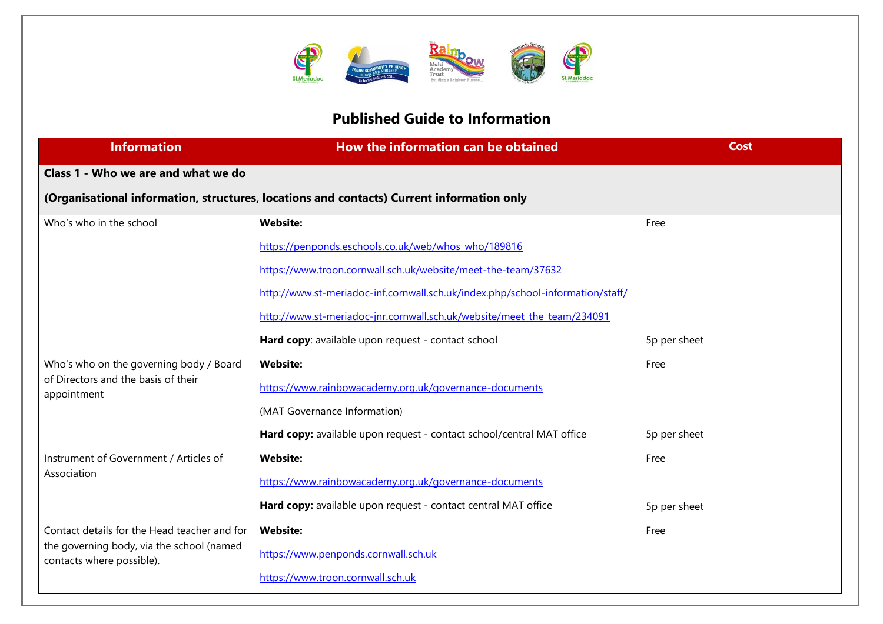

## **Published Guide to Information**

| <b>Information</b>                                                     | How the information can be obtained                                                       | <b>Cost</b>  |  |
|------------------------------------------------------------------------|-------------------------------------------------------------------------------------------|--------------|--|
| Class 1 - Who we are and what we do                                    |                                                                                           |              |  |
|                                                                        | (Organisational information, structures, locations and contacts) Current information only |              |  |
| Who's who in the school                                                | <b>Website:</b>                                                                           | Free         |  |
|                                                                        | https://penponds.eschools.co.uk/web/whos_who/189816                                       |              |  |
|                                                                        | https://www.troon.cornwall.sch.uk/website/meet-the-team/37632                             |              |  |
|                                                                        | http://www.st-meriadoc-inf.cornwall.sch.uk/index.php/school-information/staff/            |              |  |
|                                                                        | http://www.st-meriadoc-jnr.cornwall.sch.uk/website/meet the team/234091                   |              |  |
|                                                                        | Hard copy: available upon request - contact school                                        | 5p per sheet |  |
| Who's who on the governing body / Board                                | <b>Website:</b>                                                                           | Free         |  |
| of Directors and the basis of their<br>appointment                     | https://www.rainbowacademy.org.uk/governance-documents                                    |              |  |
|                                                                        | (MAT Governance Information)                                                              |              |  |
|                                                                        | Hard copy: available upon request - contact school/central MAT office                     | 5p per sheet |  |
| Instrument of Government / Articles of                                 | <b>Website:</b>                                                                           | Free         |  |
| Association                                                            | https://www.rainbowacademy.org.uk/governance-documents                                    |              |  |
|                                                                        | Hard copy: available upon request - contact central MAT office                            | 5p per sheet |  |
| Contact details for the Head teacher and for                           | <b>Website:</b>                                                                           | Free         |  |
| the governing body, via the school (named<br>contacts where possible). | https://www.penponds.cornwall.sch.uk                                                      |              |  |
|                                                                        | https://www.troon.cornwall.sch.uk                                                         |              |  |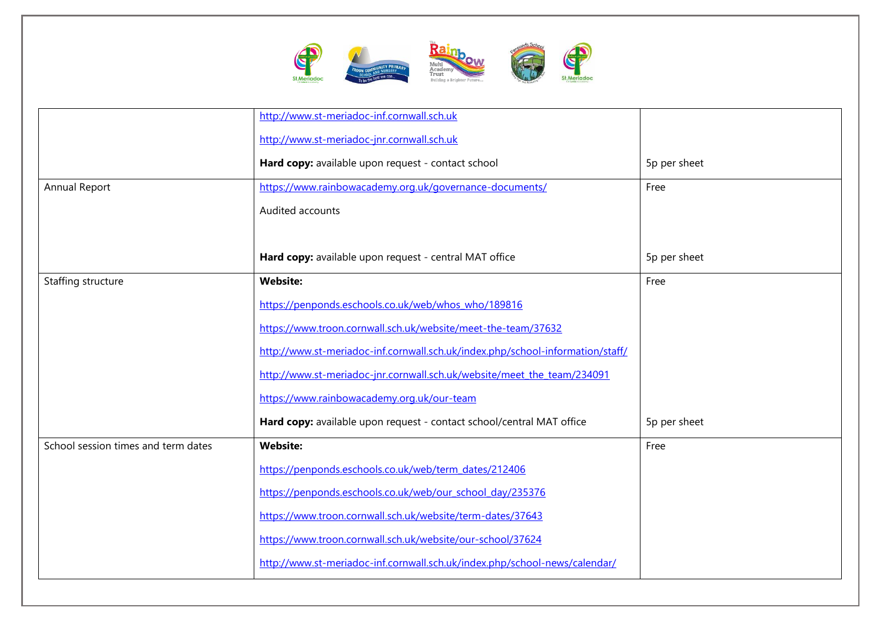

|                                     | http://www.st-meriadoc-inf.cornwall.sch.uk                                     |              |
|-------------------------------------|--------------------------------------------------------------------------------|--------------|
|                                     | http://www.st-meriadoc-jnr.cornwall.sch.uk                                     |              |
|                                     | Hard copy: available upon request - contact school                             | 5p per sheet |
| Annual Report                       | https://www.rainbowacademy.org.uk/governance-documents/                        | Free         |
|                                     | Audited accounts                                                               |              |
|                                     |                                                                                |              |
|                                     | Hard copy: available upon request - central MAT office                         | 5p per sheet |
| Staffing structure                  | <b>Website:</b>                                                                | Free         |
|                                     | https://penponds.eschools.co.uk/web/whos_who/189816                            |              |
|                                     | https://www.troon.cornwall.sch.uk/website/meet-the-team/37632                  |              |
|                                     | http://www.st-meriadoc-inf.cornwall.sch.uk/index.php/school-information/staff/ |              |
|                                     | http://www.st-meriadoc-jnr.cornwall.sch.uk/website/meet the team/234091        |              |
|                                     | https://www.rainbowacademy.org.uk/our-team                                     |              |
|                                     | Hard copy: available upon request - contact school/central MAT office          | 5p per sheet |
| School session times and term dates | <b>Website:</b>                                                                | Free         |
|                                     | https://penponds.eschools.co.uk/web/term_dates/212406                          |              |
|                                     | https://penponds.eschools.co.uk/web/our school day/235376                      |              |
|                                     | https://www.troon.cornwall.sch.uk/website/term-dates/37643                     |              |
|                                     | https://www.troon.cornwall.sch.uk/website/our-school/37624                     |              |
|                                     | http://www.st-meriadoc-inf.cornwall.sch.uk/index.php/school-news/calendar/     |              |
|                                     |                                                                                |              |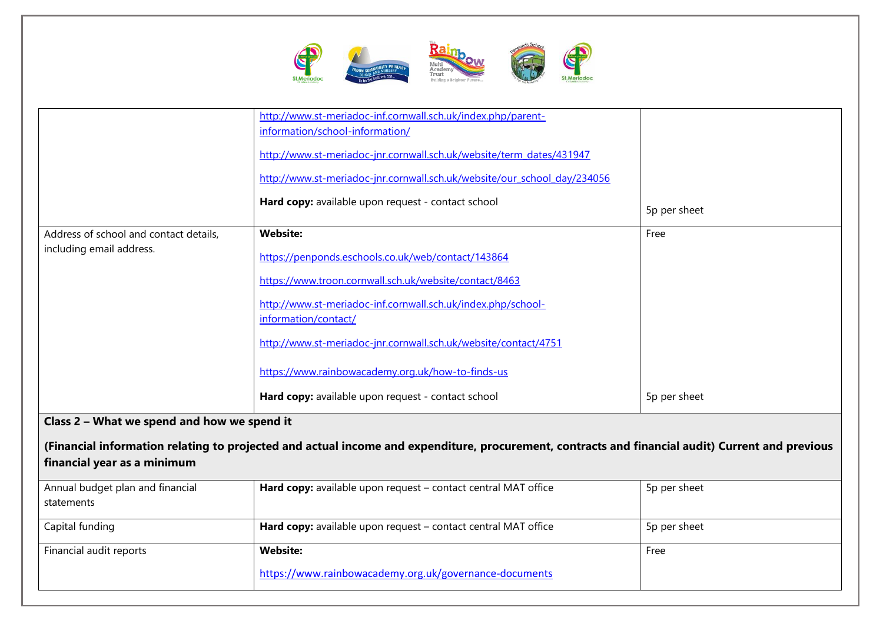

| Address of school and contact details,<br>including email address.         | http://www.st-meriadoc-inf.cornwall.sch.uk/index.php/parent-<br>information/school-information/<br>http://www.st-meriadoc-jnr.cornwall.sch.uk/website/term_dates/431947<br>http://www.st-meriadoc-jnr.cornwall.sch.uk/website/our school day/234056<br>Hard copy: available upon request - contact school<br><b>Website:</b><br>https://penponds.eschools.co.uk/web/contact/143864 | 5p per sheet<br>Free |
|----------------------------------------------------------------------------|------------------------------------------------------------------------------------------------------------------------------------------------------------------------------------------------------------------------------------------------------------------------------------------------------------------------------------------------------------------------------------|----------------------|
|                                                                            | https://www.troon.cornwall.sch.uk/website/contact/8463<br>http://www.st-meriadoc-inf.cornwall.sch.uk/index.php/school-<br>information/contact/<br>http://www.st-meriadoc-jnr.cornwall.sch.uk/website/contact/4751<br>https://www.rainbowacademy.org.uk/how-to-finds-us<br>Hard copy: available upon request - contact school                                                       | 5p per sheet         |
| Class 2 - What we spend and how we spend it<br>financial year as a minimum | (Financial information relating to projected and actual income and expenditure, procurement, contracts and financial audit) Current and previous                                                                                                                                                                                                                                   |                      |
| Annual budget plan and financial<br>statements                             | Hard copy: available upon request - contact central MAT office                                                                                                                                                                                                                                                                                                                     | 5p per sheet         |
| Capital funding                                                            | Hard copy: available upon request - contact central MAT office                                                                                                                                                                                                                                                                                                                     | 5p per sheet         |
| Financial audit reports                                                    | <b>Website:</b><br>https://www.rainbowacademy.org.uk/governance-documents                                                                                                                                                                                                                                                                                                          | Free                 |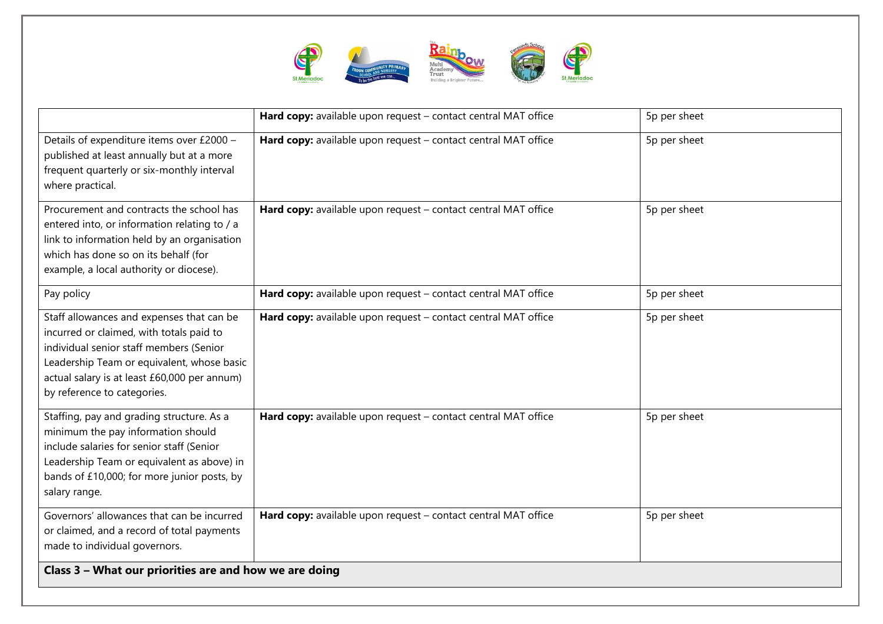

|                                                                                                                                                                                                                                                               | Hard copy: available upon request - contact central MAT office | 5p per sheet |
|---------------------------------------------------------------------------------------------------------------------------------------------------------------------------------------------------------------------------------------------------------------|----------------------------------------------------------------|--------------|
| Details of expenditure items over £2000 -<br>published at least annually but at a more<br>frequent quarterly or six-monthly interval<br>where practical.                                                                                                      | Hard copy: available upon request - contact central MAT office | 5p per sheet |
| Procurement and contracts the school has<br>entered into, or information relating to / a<br>link to information held by an organisation<br>which has done so on its behalf (for<br>example, a local authority or diocese).                                    | Hard copy: available upon request - contact central MAT office | 5p per sheet |
| Pay policy                                                                                                                                                                                                                                                    | Hard copy: available upon request - contact central MAT office | 5p per sheet |
| Staff allowances and expenses that can be<br>incurred or claimed, with totals paid to<br>individual senior staff members (Senior<br>Leadership Team or equivalent, whose basic<br>actual salary is at least £60,000 per annum)<br>by reference to categories. | Hard copy: available upon request - contact central MAT office | 5p per sheet |
| Staffing, pay and grading structure. As a<br>minimum the pay information should<br>include salaries for senior staff (Senior<br>Leadership Team or equivalent as above) in<br>bands of £10,000; for more junior posts, by<br>salary range.                    | Hard copy: available upon request - contact central MAT office | 5p per sheet |
| Governors' allowances that can be incurred<br>or claimed, and a record of total payments<br>made to individual governors.                                                                                                                                     | Hard copy: available upon request - contact central MAT office | 5p per sheet |
| Class 3 - What our priorities are and how we are doing                                                                                                                                                                                                        |                                                                |              |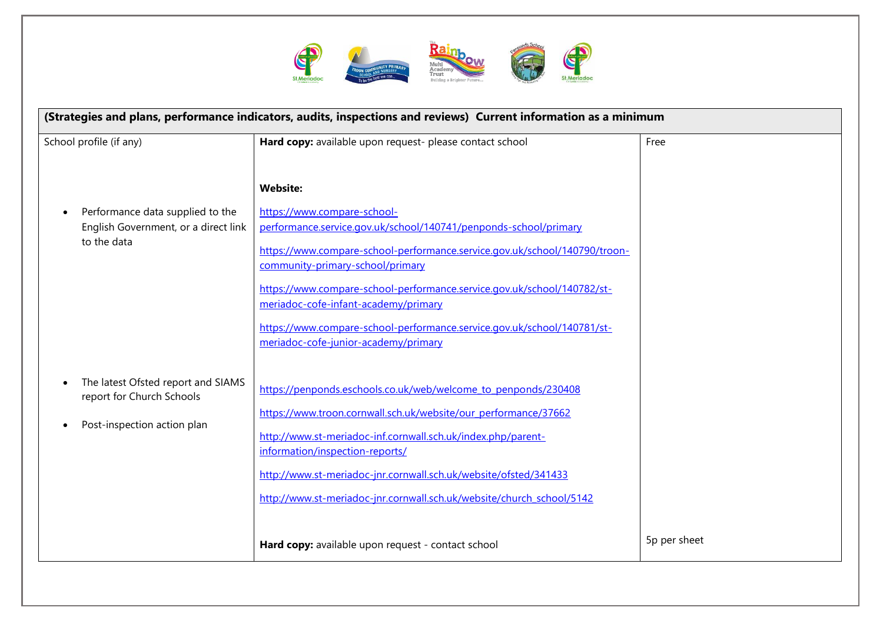

| (Strategies and plans, performance indicators, audits, inspections and reviews) Current information as a minimum |                                                                                                                                                                               |              |
|------------------------------------------------------------------------------------------------------------------|-------------------------------------------------------------------------------------------------------------------------------------------------------------------------------|--------------|
| School profile (if any)                                                                                          | Hard copy: available upon request- please contact school                                                                                                                      | Free         |
|                                                                                                                  | <b>Website:</b>                                                                                                                                                               |              |
| Performance data supplied to the<br>English Government, or a direct link<br>to the data                          | https://www.compare-school-<br>performance.service.gov.uk/school/140741/penponds-school/primary<br>https://www.compare-school-performance.service.gov.uk/school/140790/troon- |              |
|                                                                                                                  | community-primary-school/primary<br>https://www.compare-school-performance.service.gov.uk/school/140782/st-                                                                   |              |
|                                                                                                                  | meriadoc-cofe-infant-academy/primary<br>https://www.compare-school-performance.service.gov.uk/school/140781/st-                                                               |              |
|                                                                                                                  | meriadoc-cofe-junior-academy/primary                                                                                                                                          |              |
| The latest Ofsted report and SIAMS<br>report for Church Schools                                                  | https://penponds.eschools.co.uk/web/welcome_to_penponds/230408<br>https://www.troon.cornwall.sch.uk/website/our_performance/37662                                             |              |
| Post-inspection action plan                                                                                      | http://www.st-meriadoc-inf.cornwall.sch.uk/index.php/parent-<br>information/inspection-reports/                                                                               |              |
|                                                                                                                  | http://www.st-meriadoc-jnr.cornwall.sch.uk/website/ofsted/341433<br>http://www.st-meriadoc-jnr.cornwall.sch.uk/website/church_school/5142                                     |              |
|                                                                                                                  | Hard copy: available upon request - contact school                                                                                                                            | 5p per sheet |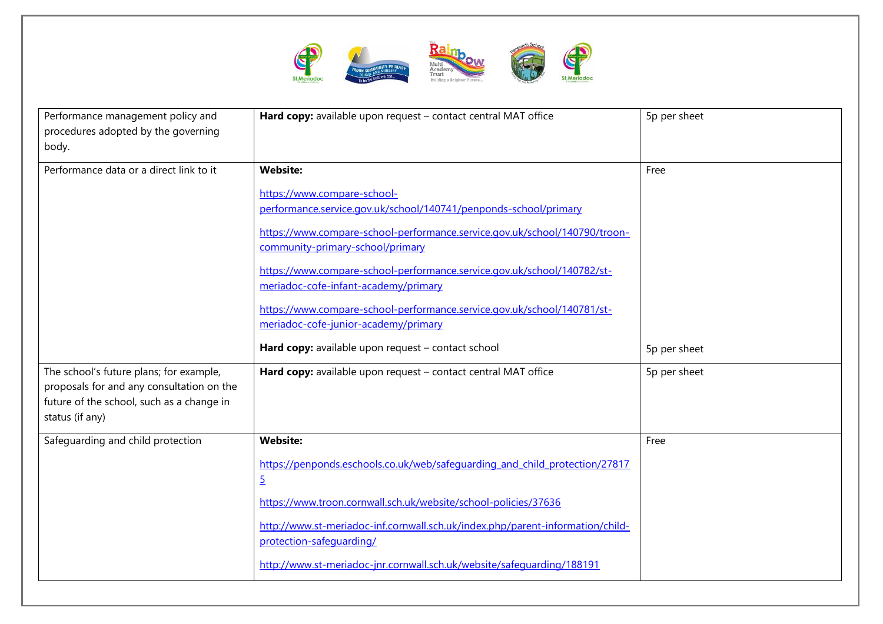

| Performance management policy and<br>procedures adopted by the governing<br>body.                                                                    | Hard copy: available upon request - contact central MAT office                                                  | 5p per sheet |
|------------------------------------------------------------------------------------------------------------------------------------------------------|-----------------------------------------------------------------------------------------------------------------|--------------|
| Performance data or a direct link to it                                                                                                              | <b>Website:</b>                                                                                                 | Free         |
|                                                                                                                                                      | https://www.compare-school-<br>performance.service.gov.uk/school/140741/penponds-school/primary                 |              |
|                                                                                                                                                      | https://www.compare-school-performance.service.gov.uk/school/140790/troon-<br>community-primary-school/primary  |              |
|                                                                                                                                                      | https://www.compare-school-performance.service.gov.uk/school/140782/st-<br>meriadoc-cofe-infant-academy/primary |              |
|                                                                                                                                                      | https://www.compare-school-performance.service.gov.uk/school/140781/st-<br>meriadoc-cofe-junior-academy/primary |              |
|                                                                                                                                                      | Hard copy: available upon request - contact school                                                              | 5p per sheet |
| The school's future plans; for example,<br>proposals for and any consultation on the<br>future of the school, such as a change in<br>status (if any) | Hard copy: available upon request - contact central MAT office                                                  | 5p per sheet |
| Safeguarding and child protection                                                                                                                    | <b>Website:</b>                                                                                                 | Free         |
|                                                                                                                                                      | https://penponds.eschools.co.uk/web/safequarding and child protection/27817<br>$\overline{5}$                   |              |
|                                                                                                                                                      | https://www.troon.cornwall.sch.uk/website/school-policies/37636                                                 |              |
|                                                                                                                                                      | http://www.st-meriadoc-inf.cornwall.sch.uk/index.php/parent-information/child-<br>protection-safequarding/      |              |
|                                                                                                                                                      | http://www.st-meriadoc-jnr.cornwall.sch.uk/website/safequarding/188191                                          |              |
|                                                                                                                                                      |                                                                                                                 |              |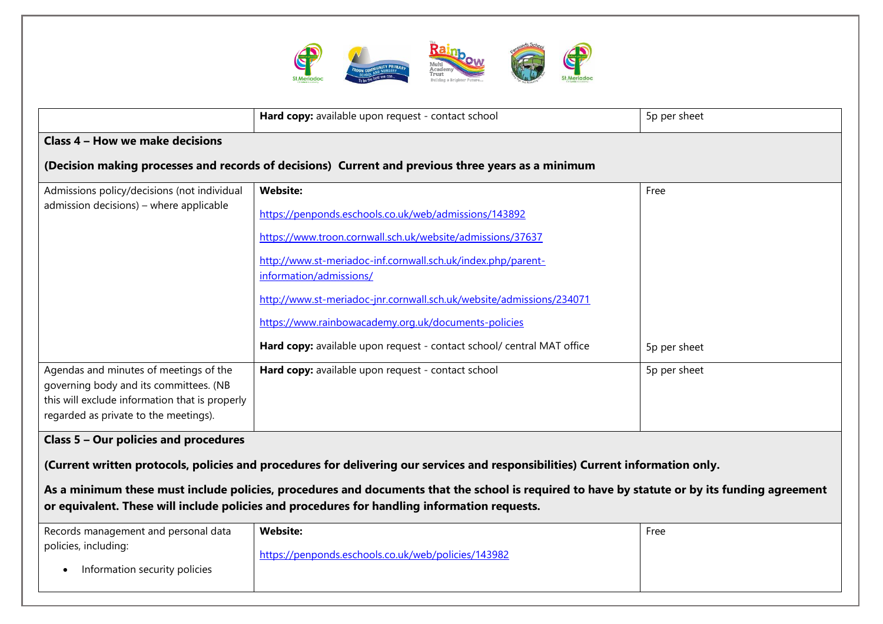

|                                                                                                                                                                             | Hard copy: available upon request - contact school                                                                                                                                                                                            | 5p per sheet |  |
|-----------------------------------------------------------------------------------------------------------------------------------------------------------------------------|-----------------------------------------------------------------------------------------------------------------------------------------------------------------------------------------------------------------------------------------------|--------------|--|
| <b>Class 4 - How we make decisions</b>                                                                                                                                      |                                                                                                                                                                                                                                               |              |  |
|                                                                                                                                                                             | (Decision making processes and records of decisions) Current and previous three years as a minimum                                                                                                                                            |              |  |
| Admissions policy/decisions (not individual<br>admission decisions) - where applicable                                                                                      | <b>Website:</b><br>https://penponds.eschools.co.uk/web/admissions/143892                                                                                                                                                                      | Free         |  |
|                                                                                                                                                                             | https://www.troon.cornwall.sch.uk/website/admissions/37637<br>http://www.st-meriadoc-inf.cornwall.sch.uk/index.php/parent-                                                                                                                    |              |  |
|                                                                                                                                                                             | information/admissions/<br>http://www.st-meriadoc-jnr.cornwall.sch.uk/website/admissions/234071                                                                                                                                               |              |  |
|                                                                                                                                                                             | https://www.rainbowacademy.org.uk/documents-policies                                                                                                                                                                                          |              |  |
|                                                                                                                                                                             | Hard copy: available upon request - contact school/ central MAT office                                                                                                                                                                        | 5p per sheet |  |
| Agendas and minutes of meetings of the<br>governing body and its committees. (NB<br>this will exclude information that is properly<br>regarded as private to the meetings). | Hard copy: available upon request - contact school                                                                                                                                                                                            | 5p per sheet |  |
| Class 5 - Our policies and procedures                                                                                                                                       |                                                                                                                                                                                                                                               |              |  |
| (Current written protocols, policies and procedures for delivering our services and responsibilities) Current information only.                                             |                                                                                                                                                                                                                                               |              |  |
|                                                                                                                                                                             | As a minimum these must include policies, procedures and documents that the school is required to have by statute or by its funding agreement<br>or equivalent. These will include policies and procedures for handling information requests. |              |  |
| Records management and personal data                                                                                                                                        | <b>Website:</b>                                                                                                                                                                                                                               | Free         |  |
| policies, including:<br>Information security policies                                                                                                                       | https://penponds.eschools.co.uk/web/policies/143982                                                                                                                                                                                           |              |  |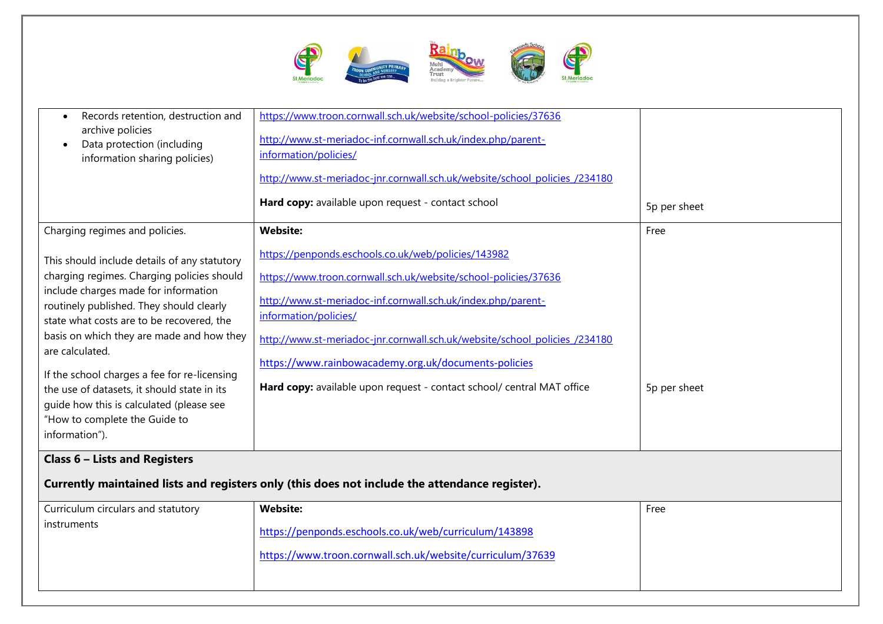

| Records retention, destruction and<br>archive policies<br>Data protection (including<br>information sharing policies)                                                                                                                                                                                                                                                                                                                                                                     | https://www.troon.cornwall.sch.uk/website/school-policies/37636<br>http://www.st-meriadoc-inf.cornwall.sch.uk/index.php/parent-<br>information/policies/<br>http://www.st-meriadoc-jnr.cornwall.sch.uk/website/school policies /234180                                                                                                                                                                                          |              |
|-------------------------------------------------------------------------------------------------------------------------------------------------------------------------------------------------------------------------------------------------------------------------------------------------------------------------------------------------------------------------------------------------------------------------------------------------------------------------------------------|---------------------------------------------------------------------------------------------------------------------------------------------------------------------------------------------------------------------------------------------------------------------------------------------------------------------------------------------------------------------------------------------------------------------------------|--------------|
|                                                                                                                                                                                                                                                                                                                                                                                                                                                                                           | Hard copy: available upon request - contact school                                                                                                                                                                                                                                                                                                                                                                              | 5p per sheet |
| Charging regimes and policies.                                                                                                                                                                                                                                                                                                                                                                                                                                                            | <b>Website:</b>                                                                                                                                                                                                                                                                                                                                                                                                                 | Free         |
| This should include details of any statutory<br>charging regimes. Charging policies should<br>include charges made for information<br>routinely published. They should clearly<br>state what costs are to be recovered, the<br>basis on which they are made and how they<br>are calculated.<br>If the school charges a fee for re-licensing<br>the use of datasets, it should state in its<br>guide how this is calculated (please see<br>"How to complete the Guide to<br>information"). | https://penponds.eschools.co.uk/web/policies/143982<br>https://www.troon.cornwall.sch.uk/website/school-policies/37636<br>http://www.st-meriadoc-inf.cornwall.sch.uk/index.php/parent-<br>information/policies/<br>http://www.st-meriadoc-jnr.cornwall.sch.uk/website/school policies /234180<br>https://www.rainbowacademy.org.uk/documents-policies<br>Hard copy: available upon request - contact school/ central MAT office | 5p per sheet |
| <b>Class 6 - Lists and Registers</b>                                                                                                                                                                                                                                                                                                                                                                                                                                                      |                                                                                                                                                                                                                                                                                                                                                                                                                                 |              |
|                                                                                                                                                                                                                                                                                                                                                                                                                                                                                           | Currently maintained lists and registers only (this does not include the attendance register).                                                                                                                                                                                                                                                                                                                                  |              |
| Curriculum circulars and statutory                                                                                                                                                                                                                                                                                                                                                                                                                                                        | <b>Website:</b>                                                                                                                                                                                                                                                                                                                                                                                                                 | Free         |
| instruments                                                                                                                                                                                                                                                                                                                                                                                                                                                                               | https://penponds.eschools.co.uk/web/curriculum/143898                                                                                                                                                                                                                                                                                                                                                                           |              |

<https://www.troon.cornwall.sch.uk/website/curriculum/37639>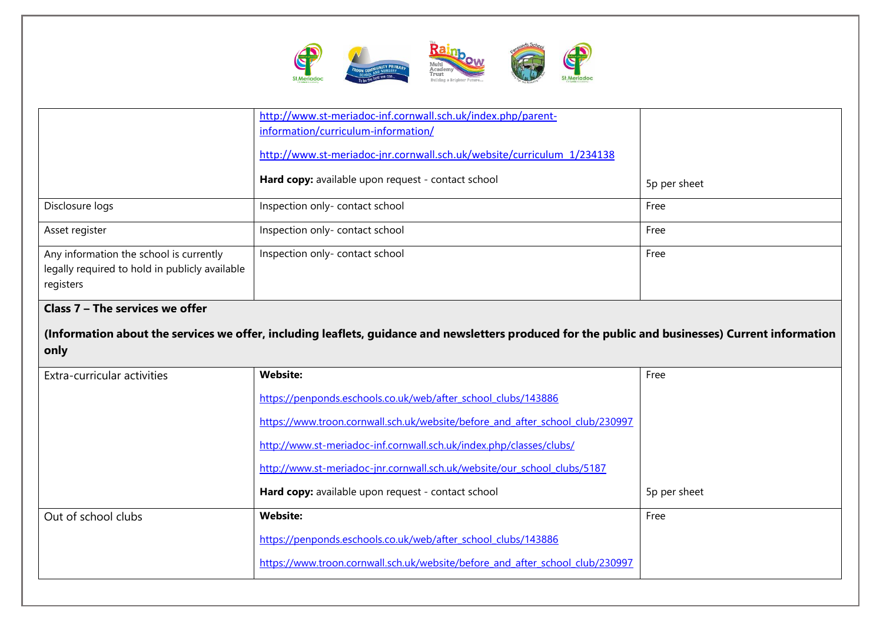

|                                                                                                        | http://www.st-meriadoc-inf.cornwall.sch.uk/index.php/parent-                                                                                       |              |
|--------------------------------------------------------------------------------------------------------|----------------------------------------------------------------------------------------------------------------------------------------------------|--------------|
|                                                                                                        | information/curriculum-information/                                                                                                                |              |
|                                                                                                        | http://www.st-meriadoc-jnr.cornwall.sch.uk/website/curriculum 1/234138                                                                             |              |
|                                                                                                        | Hard copy: available upon request - contact school                                                                                                 | 5p per sheet |
| Disclosure logs                                                                                        | Inspection only- contact school                                                                                                                    | Free         |
| Asset register                                                                                         | Inspection only- contact school                                                                                                                    | Free         |
| Any information the school is currently<br>legally required to hold in publicly available<br>registers | Inspection only- contact school                                                                                                                    | Free         |
| Class 7 - The services we offer                                                                        |                                                                                                                                                    |              |
|                                                                                                        | (Information about the services we offer, including leaflets, guidance and newsletters produced for the public and businesses) Current information |              |
| only                                                                                                   |                                                                                                                                                    |              |
| Extra-curricular activities                                                                            | <b>Website:</b>                                                                                                                                    | Free         |
|                                                                                                        | https://penponds.eschools.co.uk/web/after school clubs/143886                                                                                      |              |
|                                                                                                        | https://www.troon.cornwall.sch.uk/website/before and after school club/230997                                                                      |              |
|                                                                                                        | http://www.st-meriadoc-inf.cornwall.sch.uk/index.php/classes/clubs/                                                                                |              |
|                                                                                                        | http://www.st-meriadoc-jnr.cornwall.sch.uk/website/our_school_clubs/5187                                                                           |              |
|                                                                                                        | Hard copy: available upon request - contact school                                                                                                 | 5p per sheet |
| Out of school clubs                                                                                    | <b>Website:</b>                                                                                                                                    | Free         |
|                                                                                                        | https://penponds.eschools.co.uk/web/after_school_clubs/143886                                                                                      |              |
|                                                                                                        | https://www.troon.cornwall.sch.uk/website/before and after school club/230997                                                                      |              |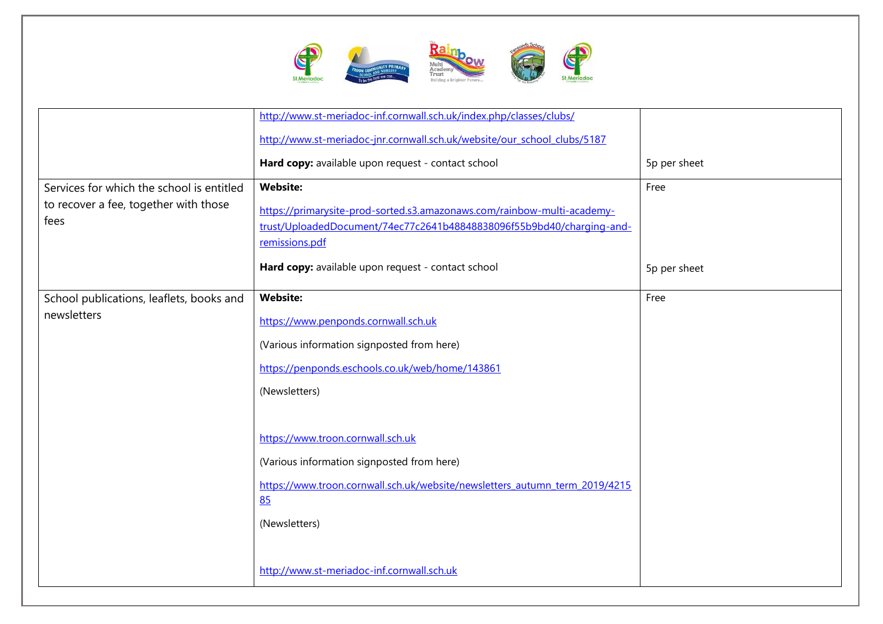

|                                                                                            | http://www.st-meriadoc-inf.cornwall.sch.uk/index.php/classes/clubs/<br>http://www.st-meriadoc-jnr.cornwall.sch.uk/website/our_school_clubs/5187                                                                                     |              |
|--------------------------------------------------------------------------------------------|-------------------------------------------------------------------------------------------------------------------------------------------------------------------------------------------------------------------------------------|--------------|
|                                                                                            | Hard copy: available upon request - contact school                                                                                                                                                                                  | 5p per sheet |
| Services for which the school is entitled<br>to recover a fee, together with those<br>fees | <b>Website:</b><br>https://primarysite-prod-sorted.s3.amazonaws.com/rainbow-multi-academy-<br>trust/UploadedDocument/74ec77c2641b48848838096f55b9bd40/charging-and-<br>remissions.pdf                                               | Free         |
|                                                                                            | Hard copy: available upon request - contact school                                                                                                                                                                                  | 5p per sheet |
| School publications, leaflets, books and<br>newsletters                                    | <b>Website:</b><br>https://www.penponds.cornwall.sch.uk<br>(Various information signposted from here)<br>https://penponds.eschools.co.uk/web/home/143861<br>(Newsletters)                                                           | Free         |
|                                                                                            | https://www.troon.cornwall.sch.uk<br>(Various information signposted from here)<br>https://www.troon.cornwall.sch.uk/website/newsletters autumn term 2019/4215<br>85<br>(Newsletters)<br>http://www.st-meriadoc-inf.cornwall.sch.uk |              |